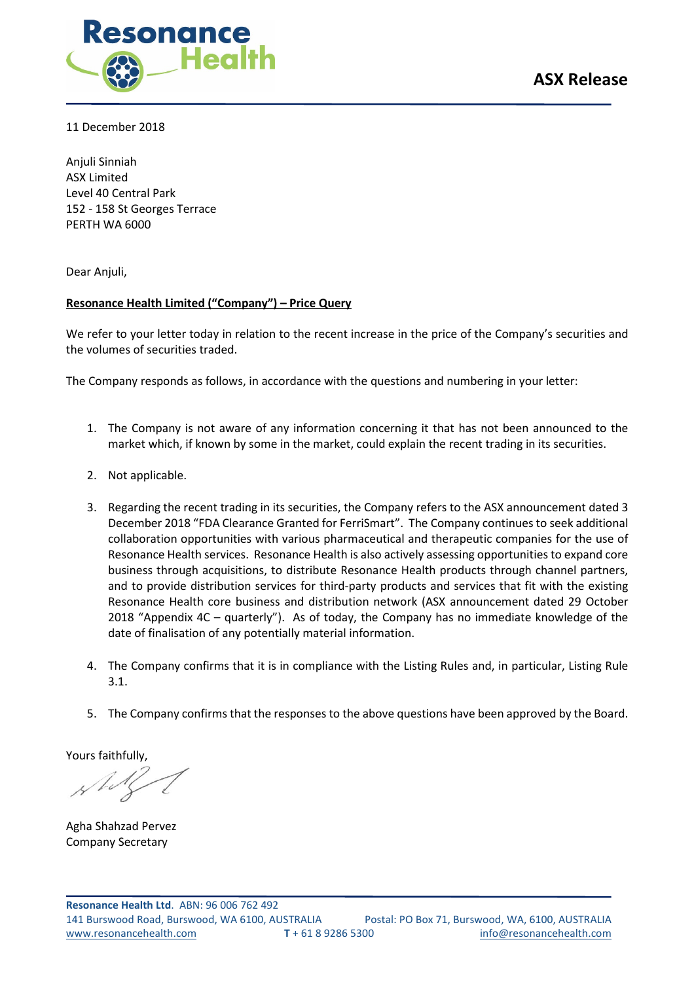

11 December 2018

Anjuli Sinniah ASX Limited Level 40 Central Park 152 - 158 St Georges Terrace PERTH WA 6000

Dear Anjuli,

# Resonance Health Limited ("Company") – Price Query

We refer to your letter today in relation to the recent increase in the price of the Company's securities and the volumes of securities traded.

The Company responds as follows, in accordance with the questions and numbering in your letter:

- 1. The Company is not aware of any information concerning it that has not been announced to the market which, if known by some in the market, could explain the recent trading in its securities.
- 2. Not applicable.
- 3. Regarding the recent trading in its securities, the Company refers to the ASX announcement dated 3 December 2018 "FDA Clearance Granted for FerriSmart". The Company continues to seek additional collaboration opportunities with various pharmaceutical and therapeutic companies for the use of Resonance Health services. Resonance Health is also actively assessing opportunities to expand core business through acquisitions, to distribute Resonance Health products through channel partners, and to provide distribution services for third-party products and services that fit with the existing Resonance Health core business and distribution network (ASX announcement dated 29 October 2018 "Appendix 4C – quarterly"). As of today, the Company has no immediate knowledge of the date of finalisation of any potentially material information.
- 4. The Company confirms that it is in compliance with the Listing Rules and, in particular, Listing Rule 3.1.
- 5. The Company confirms that the responses to the above questions have been approved by the Board.

Yours faithfully,

Agha Shahzad Pervez Company Secretary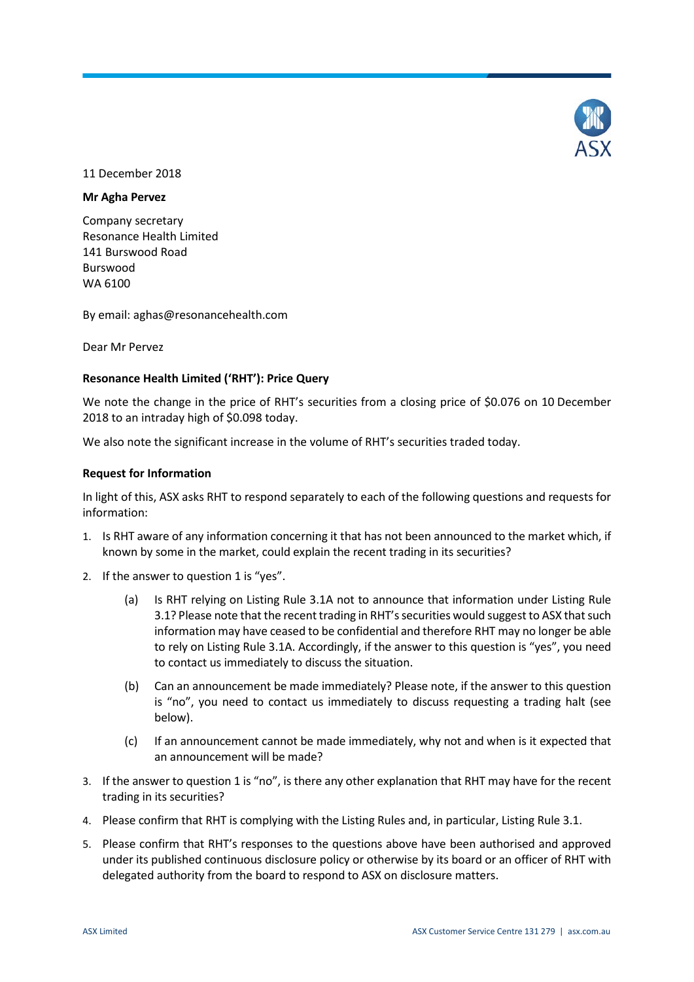

#### 11 December 2018

#### **Mr Agha Pervez**

Company secretary Resonance Health Limited 141 Burswood Road Burswood WA 6100

By email: aghas@resonancehealth.com

Dear Mr Pervez

## **Resonance Health Limited ('RHT'): Price Query**

We note the change in the price of RHT's securities from a closing price of \$0.076 on 10 December 2018 to an intraday high of \$0.098 today.

We also note the significant increase in the volume of RHT's securities traded today.

#### **Request for Information**

In light of this, ASX asks RHT to respond separately to each of the following questions and requests for information:

- 1. Is RHT aware of any information concerning it that has not been announced to the market which, if known by some in the market, could explain the recent trading in its securities?
- 2. If the answer to question 1 is "yes".
	- (a) Is RHT relying on Listing Rule 3.1A not to announce that information under Listing Rule 3.1? Please note that the recent trading in RHT's securities would suggest to ASX that such information may have ceased to be confidential and therefore RHT may no longer be able to rely on Listing Rule 3.1A. Accordingly, if the answer to this question is "yes", you need to contact us immediately to discuss the situation.
	- (b) Can an announcement be made immediately? Please note, if the answer to this question is "no", you need to contact us immediately to discuss requesting a trading halt (see below).
	- (c) If an announcement cannot be made immediately, why not and when is it expected that an announcement will be made?
- 3. If the answer to question 1 is "no", is there any other explanation that RHT may have for the recent trading in its securities?
- 4. Please confirm that RHT is complying with the Listing Rules and, in particular, Listing Rule 3.1.
- 5. Please confirm that RHT's responses to the questions above have been authorised and approved under its published continuous disclosure policy or otherwise by its board or an officer of RHT with delegated authority from the board to respond to ASX on disclosure matters.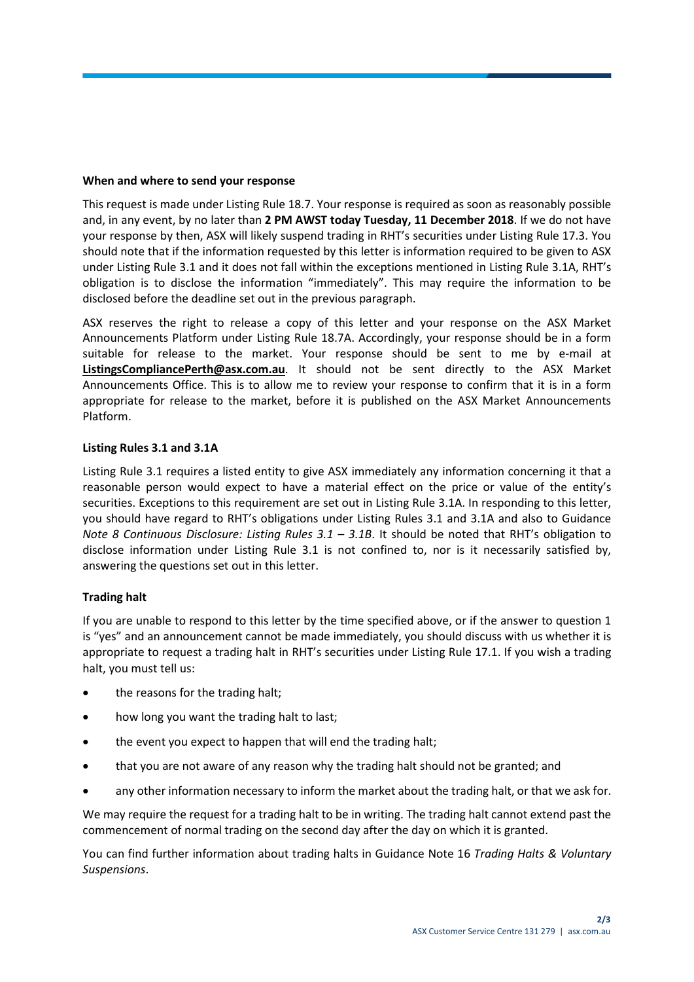## **When and where to send your response**

This request is made under Listing Rule 18.7. Your response is required as soon as reasonably possible and, in any event, by no later than **2 PM AWST today Tuesday, 11 December 2018**. If we do not have your response by then, ASX will likely suspend trading in RHT's securities under Listing Rule 17.3. You should note that if the information requested by this letter is information required to be given to ASX under Listing Rule 3.1 and it does not fall within the exceptions mentioned in Listing Rule 3.1A, RHT's obligation is to disclose the information "immediately". This may require the information to be disclosed before the deadline set out in the previous paragraph.

ASX reserves the right to release a copy of this letter and your response on the ASX Market Announcements Platform under Listing Rule 18.7A. Accordingly, your response should be in a form suitable for release to the market. Your response should be sent to me by e-mail at **ListingsCompliancePerth@asx.com.au**. It should not be sent directly to the ASX Market Announcements Office. This is to allow me to review your response to confirm that it is in a form appropriate for release to the market, before it is published on the ASX Market Announcements Platform.

#### **Listing Rules 3.1 and 3.1A**

Listing Rule 3.1 requires a listed entity to give ASX immediately any information concerning it that a reasonable person would expect to have a material effect on the price or value of the entity's securities. Exceptions to this requirement are set out in Listing Rule 3.1A. In responding to this letter, you should have regard to RHT's obligations under Listing Rules 3.1 and 3.1A and also to Guidance *Note 8 Continuous Disclosure: Listing Rules 3.1 – 3.1B*. It should be noted that RHT's obligation to disclose information under Listing Rule 3.1 is not confined to, nor is it necessarily satisfied by, answering the questions set out in this letter.

## **Trading halt**

If you are unable to respond to this letter by the time specified above, or if the answer to question 1 is "yes" and an announcement cannot be made immediately, you should discuss with us whether it is appropriate to request a trading halt in RHT's securities under Listing Rule 17.1. If you wish a trading halt, you must tell us:

- the reasons for the trading halt;
- how long you want the trading halt to last;
- the event you expect to happen that will end the trading halt;
- that you are not aware of any reason why the trading halt should not be granted; and
- any other information necessary to inform the market about the trading halt, or that we ask for.

We may require the request for a trading halt to be in writing. The trading halt cannot extend past the commencement of normal trading on the second day after the day on which it is granted.

You can find further information about trading halts in Guidance Note 16 *Trading Halts & Voluntary Suspensions*.